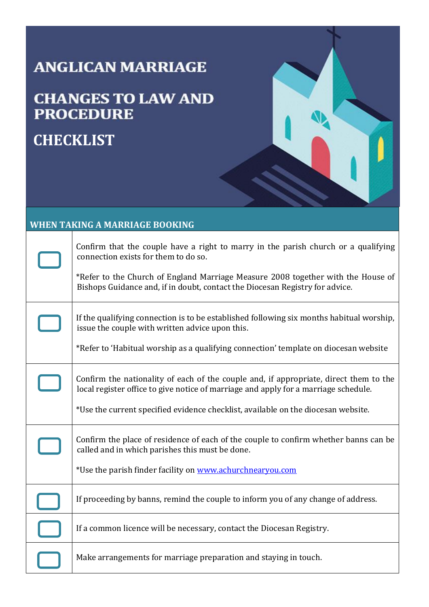## **ANGLICAN MARRIAGE**

### **CHANGES TO LAW AND PROCEDURE**

## **CHECKLIST**

#### **WHEN TAKING A MARRIAGE BOOKING**

| Confirm that the couple have a right to marry in the parish church or a qualifying<br>connection exists for them to do so.<br>*Refer to the Church of England Marriage Measure 2008 together with the House of<br>Bishops Guidance and, if in doubt, contact the Diocesan Registry for advice. |
|------------------------------------------------------------------------------------------------------------------------------------------------------------------------------------------------------------------------------------------------------------------------------------------------|
| If the qualifying connection is to be established following six months habitual worship,<br>issue the couple with written advice upon this.<br>*Refer to 'Habitual worship as a qualifying connection' template on diocesan website                                                            |
| Confirm the nationality of each of the couple and, if appropriate, direct them to the<br>local register office to give notice of marriage and apply for a marriage schedule.<br>*Use the current specified evidence checklist, available on the diocesan website.                              |
| Confirm the place of residence of each of the couple to confirm whether banns can be<br>called and in which parishes this must be done.<br>*Use the parish finder facility on www.achurchnearyou.com                                                                                           |
| If proceeding by banns, remind the couple to inform you of any change of address.                                                                                                                                                                                                              |
| If a common licence will be necessary, contact the Diocesan Registry.                                                                                                                                                                                                                          |
| Make arrangements for marriage preparation and staying in touch.                                                                                                                                                                                                                               |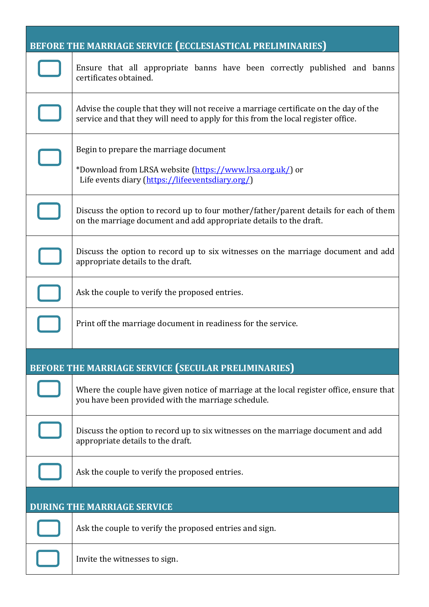|                                    | BEFORE THE MARRIAGE SERVICE (ECCLESIASTICAL PRELIMINARIES)                                                                                                                 |  |
|------------------------------------|----------------------------------------------------------------------------------------------------------------------------------------------------------------------------|--|
|                                    | Ensure that all appropriate banns have been correctly published and banns<br>certificates obtained.                                                                        |  |
|                                    | Advise the couple that they will not receive a marriage certificate on the day of the<br>service and that they will need to apply for this from the local register office. |  |
|                                    | Begin to prepare the marriage document<br>*Download from LRSA website (https://www.lrsa.org.uk/) or<br>Life events diary (https://lifeeventsdiary.org/)                    |  |
|                                    | Discuss the option to record up to four mother/father/parent details for each of them<br>on the marriage document and add appropriate details to the draft.                |  |
|                                    | Discuss the option to record up to six witnesses on the marriage document and add<br>appropriate details to the draft.                                                     |  |
|                                    | Ask the couple to verify the proposed entries.                                                                                                                             |  |
|                                    | Print off the marriage document in readiness for the service.                                                                                                              |  |
|                                    | BEFORE THE MARRIAGE SERVICE (SECULAR PRELIMINARIES)                                                                                                                        |  |
|                                    | Where the couple have given notice of marriage at the local register office, ensure that<br>you have been provided with the marriage schedule.                             |  |
|                                    | Discuss the option to record up to six witnesses on the marriage document and add<br>appropriate details to the draft.                                                     |  |
|                                    | Ask the couple to verify the proposed entries.                                                                                                                             |  |
| <b>DURING THE MARRIAGE SERVICE</b> |                                                                                                                                                                            |  |
|                                    | Ask the couple to verify the proposed entries and sign.                                                                                                                    |  |
|                                    | Invite the witnesses to sign.                                                                                                                                              |  |

 $\mathsf L$